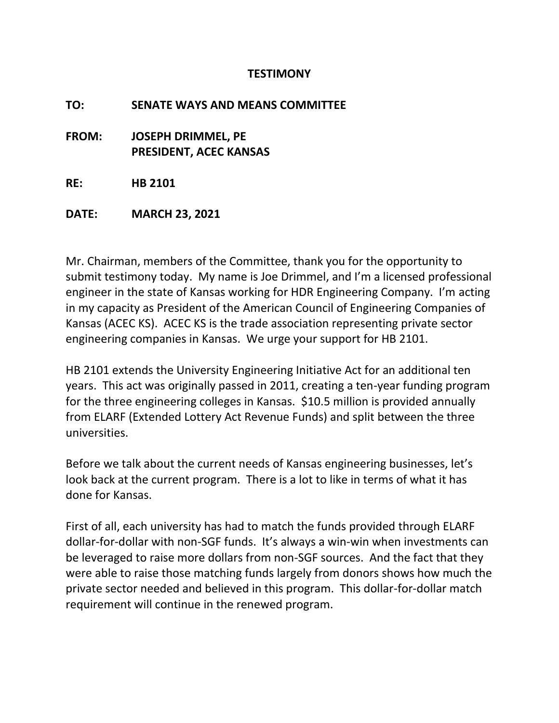## **TESTIMONY**

**TO: SENATE WAYS AND MEANS COMMITTEE**

**FROM: JOSEPH DRIMMEL, PE PRESIDENT, ACEC KANSAS**

**RE: HB 2101**

**DATE: MARCH 23, 2021**

Mr. Chairman, members of the Committee, thank you for the opportunity to submit testimony today. My name is Joe Drimmel, and I'm a licensed professional engineer in the state of Kansas working for HDR Engineering Company. I'm acting in my capacity as President of the American Council of Engineering Companies of Kansas (ACEC KS). ACEC KS is the trade association representing private sector engineering companies in Kansas. We urge your support for HB 2101.

HB 2101 extends the University Engineering Initiative Act for an additional ten years. This act was originally passed in 2011, creating a ten-year funding program for the three engineering colleges in Kansas. \$10.5 million is provided annually from ELARF (Extended Lottery Act Revenue Funds) and split between the three universities.

Before we talk about the current needs of Kansas engineering businesses, let's look back at the current program. There is a lot to like in terms of what it has done for Kansas.

First of all, each university has had to match the funds provided through ELARF dollar-for-dollar with non-SGF funds. It's always a win-win when investments can be leveraged to raise more dollars from non-SGF sources. And the fact that they were able to raise those matching funds largely from donors shows how much the private sector needed and believed in this program. This dollar-for-dollar match requirement will continue in the renewed program.